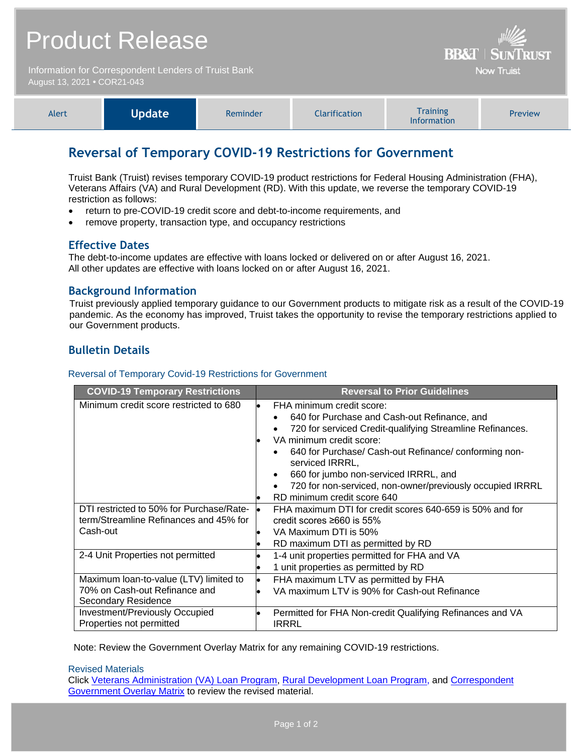| Product Release                                                                     | $\frac{1}{2}$<br><b>BB&amp;T   SUNTRUST</b> |
|-------------------------------------------------------------------------------------|---------------------------------------------|
| Information for Correspondent Lenders of Truist Bank<br>August 13, 2021 • COR21-043 | <b>Now Truist</b>                           |

| <b>Alert</b> | Update <sup>1</sup> | Reminder | <b>Clarification</b> | <b>Training</b><br><b>Information</b> | <b>Preview</b> |
|--------------|---------------------|----------|----------------------|---------------------------------------|----------------|
|--------------|---------------------|----------|----------------------|---------------------------------------|----------------|

# **Reversal of Temporary COVID-19 Restrictions for Government**

Truist Bank (Truist) revises temporary COVID-19 product restrictions for Federal Housing Administration (FHA), Veterans Affairs (VA) and Rural Development (RD). With this update, we reverse the temporary COVID-19 restriction as follows:

- return to pre-COVID-19 credit score and debt-to-income requirements, and
- remove property, transaction type, and occupancy restrictions

# **Effective Dates**

The debt-to-income updates are effective with loans locked or delivered on or after August 16, 2021. All other updates are effective with loans locked on or after August 16, 2021.

### **Background Information**

Truist previously applied temporary guidance to our Government products to mitigate risk as a result of the COVID-19 pandemic. As the economy has improved, Truist takes the opportunity to revise the temporary restrictions applied to our Government products.

# **Bulletin Details**

#### Reversal of Temporary Covid-19 Restrictions for Government

| <b>COVID-19 Temporary Restrictions</b>   | <b>Reversal to Prior Guidelines</b>                                                                                                                                                                                                                                                                                                                                                                           |
|------------------------------------------|---------------------------------------------------------------------------------------------------------------------------------------------------------------------------------------------------------------------------------------------------------------------------------------------------------------------------------------------------------------------------------------------------------------|
| Minimum credit score restricted to 680   | FHA minimum credit score:<br>$\bullet$<br>640 for Purchase and Cash-out Refinance, and<br>$\bullet$<br>720 for serviced Credit-qualifying Streamline Refinances.<br>VA minimum credit score:<br>640 for Purchase/ Cash-out Refinance/ conforming non-<br>serviced IRRRL,<br>660 for jumbo non-serviced IRRRL, and<br>720 for non-serviced, non-owner/previously occupied IRRRL<br>RD minimum credit score 640 |
| DTI restricted to 50% for Purchase/Rate- | FHA maximum DTI for credit scores 640-659 is 50% and for                                                                                                                                                                                                                                                                                                                                                      |
| term/Streamline Refinances and 45% for   | credit scores $\geq 660$ is 55%                                                                                                                                                                                                                                                                                                                                                                               |
| Cash-out                                 | VA Maximum DTI is 50%                                                                                                                                                                                                                                                                                                                                                                                         |
| 2-4 Unit Properties not permitted        | RD maximum DTI as permitted by RD<br>1-4 unit properties permitted for FHA and VA<br>1 unit properties as permitted by RD                                                                                                                                                                                                                                                                                     |
| Maximum loan-to-value (LTV) limited to   | FHA maximum LTV as permitted by FHA                                                                                                                                                                                                                                                                                                                                                                           |
| 70% on Cash-out Refinance and            | $\bullet$                                                                                                                                                                                                                                                                                                                                                                                                     |
| <b>Secondary Residence</b>               | VA maximum LTV is 90% for Cash-out Refinance                                                                                                                                                                                                                                                                                                                                                                  |
| <b>Investment/Previously Occupied</b>    | Permitted for FHA Non-credit Qualifying Refinances and VA                                                                                                                                                                                                                                                                                                                                                     |
| Properties not permitted                 | <b>IRRRL</b>                                                                                                                                                                                                                                                                                                                                                                                                  |

Note: Review the Government Overlay Matrix for any remaining COVID-19 restrictions.

#### Revised Materials

Click [Veterans Administration \(VA\) Loan Program,](https://www.truistsellerguide.com/manual/cor/products/cVA.pdf) [Rural Development Loan Program,](https://www.truistsellerguide.com/manual/cor/products/cRD.pdf) and [Correspondent](https://www.truistsellerguide.com/manual/cor/products/CGovtCreditOverlays.pdf)  [Government Overlay Matrix](https://www.truistsellerguide.com/manual/cor/products/CGovtCreditOverlays.pdf) to review the revised material.